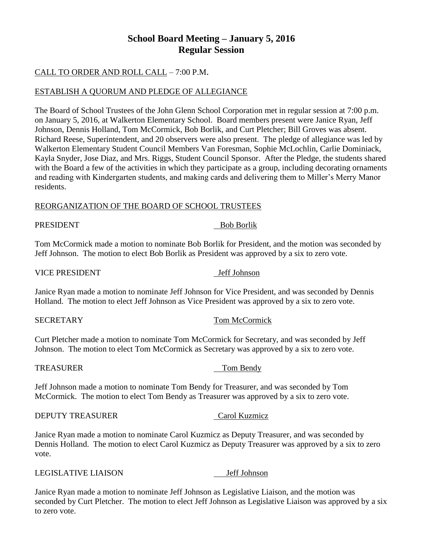# **School Board Meeting – January 5, 2016 Regular Session**

## CALL TO ORDER AND ROLL CALL – 7:00 P.M.

## ESTABLISH A QUORUM AND PLEDGE OF ALLEGIANCE

The Board of School Trustees of the John Glenn School Corporation met in regular session at 7:00 p.m. on January 5, 2016, at Walkerton Elementary School. Board members present were Janice Ryan, Jeff Johnson, Dennis Holland, Tom McCormick, Bob Borlik, and Curt Pletcher; Bill Groves was absent. Richard Reese, Superintendent, and 20 observers were also present. The pledge of allegiance was led by Walkerton Elementary Student Council Members Van Foresman, Sophie McLochlin, Carlie Dominiack, Kayla Snyder, Jose Diaz, and Mrs. Riggs, Student Council Sponsor. After the Pledge, the students shared with the Board a few of the activities in which they participate as a group, including decorating ornaments and reading with Kindergarten students, and making cards and delivering them to Miller's Merry Manor residents.

### REORGANIZATION OF THE BOARD OF SCHOOL TRUSTEES

### PRESIDENT Bob Borlik

Tom McCormick made a motion to nominate Bob Borlik for President, and the motion was seconded by Jeff Johnson. The motion to elect Bob Borlik as President was approved by a six to zero vote.

### VICE PRESIDENT Jeff Johnson

Janice Ryan made a motion to nominate Jeff Johnson for Vice President, and was seconded by Dennis Holland. The motion to elect Jeff Johnson as Vice President was approved by a six to zero vote.

### SECRETARY Tom McCormick

Curt Pletcher made a motion to nominate Tom McCormick for Secretary, and was seconded by Jeff Johnson. The motion to elect Tom McCormick as Secretary was approved by a six to zero vote.

### TREASURER TOM Bendy

Jeff Johnson made a motion to nominate Tom Bendy for Treasurer, and was seconded by Tom McCormick. The motion to elect Tom Bendy as Treasurer was approved by a six to zero vote.

### DEPUTY TREASURER Carol Kuzmicz

Janice Ryan made a motion to nominate Carol Kuzmicz as Deputy Treasurer, and was seconded by Dennis Holland. The motion to elect Carol Kuzmicz as Deputy Treasurer was approved by a six to zero vote.

### LEGISLATIVE LIAISON Jeff Johnson

Janice Ryan made a motion to nominate Jeff Johnson as Legislative Liaison, and the motion was seconded by Curt Pletcher. The motion to elect Jeff Johnson as Legislative Liaison was approved by a six to zero vote.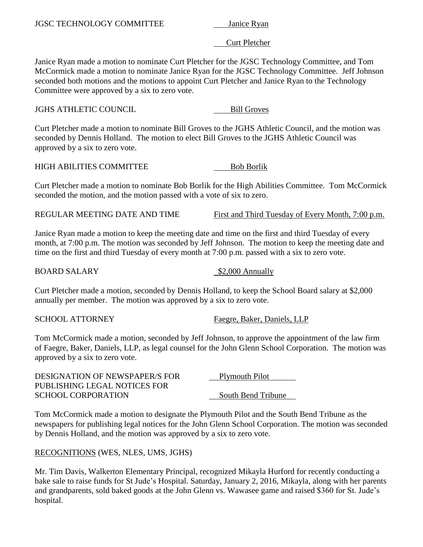Curt Pletcher

Janice Ryan made a motion to nominate Curt Pletcher for the JGSC Technology Committee, and Tom McCormick made a motion to nominate Janice Ryan for the JGSC Technology Committee. Jeff Johnson seconded both motions and the motions to appoint Curt Pletcher and Janice Ryan to the Technology Committee were approved by a six to zero vote.

**JGHS ATHLETIC COUNCIL Bill Groves** 

Curt Pletcher made a motion to nominate Bill Groves to the JGHS Athletic Council, and the motion was seconded by Dennis Holland. The motion to elect Bill Groves to the JGHS Athletic Council was approved by a six to zero vote.

HIGH ABILITIES COMMITTEE Bob Borlik

Curt Pletcher made a motion to nominate Bob Borlik for the High Abilities Committee. Tom McCormick seconded the motion, and the motion passed with a vote of six to zero.

REGULAR MEETING DATE AND TIME First and Third Tuesday of Every Month, 7:00 p.m.

Janice Ryan made a motion to keep the meeting date and time on the first and third Tuesday of every month, at 7:00 p.m. The motion was seconded by Jeff Johnson. The motion to keep the meeting date and time on the first and third Tuesday of every month at 7:00 p.m. passed with a six to zero vote.

BOARD SALARY \$2,000 Annually

Curt Pletcher made a motion, seconded by Dennis Holland, to keep the School Board salary at \$2,000 annually per member. The motion was approved by a six to zero vote.

SCHOOL ATTORNEY Faegre, Baker, Daniels, LLP

Tom McCormick made a motion, seconded by Jeff Johnson, to approve the appointment of the law firm of Faegre, Baker, Daniels, LLP, as legal counsel for the John Glenn School Corporation. The motion was approved by a six to zero vote.

| DESIGNATION OF NEWSPAPER/S FOR | <b>Plymouth Pilot</b> |
|--------------------------------|-----------------------|
| PUBLISHING LEGAL NOTICES FOR   |                       |
| <b>SCHOOL CORPORATION</b>      | South Bend Tribune    |

Tom McCormick made a motion to designate the Plymouth Pilot and the South Bend Tribune as the newspapers for publishing legal notices for the John Glenn School Corporation. The motion was seconded by Dennis Holland, and the motion was approved by a six to zero vote.

RECOGNITIONS (WES, NLES, UMS, JGHS)

Mr. Tim Davis, Walkerton Elementary Principal, recognized Mikayla Hurford for recently conducting a bake sale to raise funds for St Jude's Hospital. Saturday, January 2, 2016, Mikayla, along with her parents and grandparents, sold baked goods at the John Glenn vs. Wawasee game and raised \$360 for St. Jude's hospital.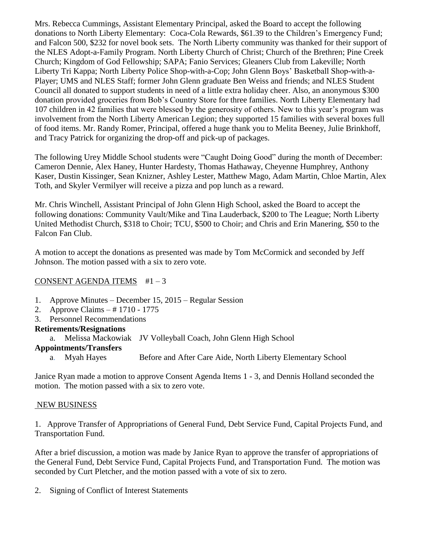Mrs. Rebecca Cummings, Assistant Elementary Principal, asked the Board to accept the following donations to North Liberty Elementary: Coca-Cola Rewards, \$61.39 to the Children's Emergency Fund; and Falcon 500, \$232 for novel book sets. The North Liberty community was thanked for their support of the NLES Adopt-a-Family Program. North Liberty Church of Christ; Church of the Brethren; Pine Creek Church; Kingdom of God Fellowship; SAPA; Fanio Services; Gleaners Club from Lakeville; North Liberty Tri Kappa; North Liberty Police Shop-with-a-Cop; John Glenn Boys' Basketball Shop-with-a-Player; UMS and NLES Staff; former John Glenn graduate Ben Weiss and friends; and NLES Student Council all donated to support students in need of a little extra holiday cheer. Also, an anonymous \$300 donation provided groceries from Bob's Country Store for three families. North Liberty Elementary had 107 children in 42 families that were blessed by the generosity of others. New to this year's program was involvement from the North Liberty American Legion; they supported 15 families with several boxes full of food items. Mr. Randy Romer, Principal, offered a huge thank you to Melita Beeney, Julie Brinkhoff, and Tracy Patrick for organizing the drop-off and pick-up of packages.

The following Urey Middle School students were "Caught Doing Good" during the month of December: Cameron Dennie, Alex Haney, Hunter Hardesty, Thomas Hathaway, Cheyenne Humphrey, Anthony Kaser, Dustin Kissinger, Sean Knizner, Ashley Lester, Matthew Mago, Adam Martin, Chloe Martin, Alex Toth, and Skyler Vermilyer will receive a pizza and pop lunch as a reward.

Mr. Chris Winchell, Assistant Principal of John Glenn High School, asked the Board to accept the following donations: Community Vault/Mike and Tina Lauderback, \$200 to The League; North Liberty United Methodist Church, \$318 to Choir; TCU, \$500 to Choir; and Chris and Erin Manering, \$50 to the Falcon Fan Club.

A motion to accept the donations as presented was made by Tom McCormick and seconded by Jeff Johnson. The motion passed with a six to zero vote.

## CONSENT AGENDA ITEMS #1 – 3

- 1. Approve Minutes December 15, 2015 Regular Session
- 2. Approve Claims # 1710 1775
- 3. Personnel Recommendations

## **Retirements/Resignations**

a. Melissa Mackowiak JV Volleyball Coach, John Glenn High School

## **Appointments/Transfers**

a. Myah Hayes Before and After Care Aide, North Liberty Elementary School

Janice Ryan made a motion to approve Consent Agenda Items 1 - 3, and Dennis Holland seconded the motion. The motion passed with a six to zero vote.

## NEW BUSINESS

1. Approve Transfer of Appropriations of General Fund, Debt Service Fund, Capital Projects Fund, and Transportation Fund.

After a brief discussion, a motion was made by Janice Ryan to approve the transfer of appropriations of the General Fund, Debt Service Fund, Capital Projects Fund, and Transportation Fund. The motion was seconded by Curt Pletcher, and the motion passed with a vote of six to zero.

2. Signing of Conflict of Interest Statements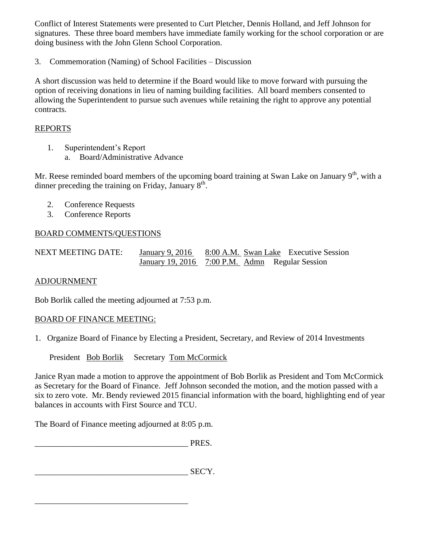Conflict of Interest Statements were presented to Curt Pletcher, Dennis Holland, and Jeff Johnson for signatures. These three board members have immediate family working for the school corporation or are doing business with the John Glenn School Corporation.

3. Commemoration (Naming) of School Facilities – Discussion

A short discussion was held to determine if the Board would like to move forward with pursuing the option of receiving donations in lieu of naming building facilities. All board members consented to allowing the Superintendent to pursue such avenues while retaining the right to approve any potential contracts.

## REPORTS

- 1. Superintendent's Report
	- a. Board/Administrative Advance

Mr. Reese reminded board members of the upcoming board training at Swan Lake on January  $9<sup>th</sup>$ , with a dinner preceding the training on Friday, January  $8<sup>th</sup>$ .

- 2. Conference Requests
- 3. Conference Reports

## BOARD COMMENTS/QUESTIONS

| NEXT MEETING DATE: | January 9, 2016 8:00 A.M. Swan Lake Executive Session |  |  |
|--------------------|-------------------------------------------------------|--|--|
|                    | January 19, 2016 7:00 P.M. Admn Regular Session       |  |  |

## ADJOURNMENT

Bob Borlik called the meeting adjourned at 7:53 p.m.

## BOARD OF FINANCE MEETING:

1. Organize Board of Finance by Electing a President, Secretary, and Review of 2014 Investments

President Bob Borlik Secretary Tom McCormick

Janice Ryan made a motion to approve the appointment of Bob Borlik as President and Tom McCormick as Secretary for the Board of Finance. Jeff Johnson seconded the motion, and the motion passed with a six to zero vote. Mr. Bendy reviewed 2015 financial information with the board, highlighting end of year balances in accounts with First Source and TCU.

The Board of Finance meeting adjourned at 8:05 p.m.

\_\_\_\_\_\_\_\_\_\_\_\_\_\_\_\_\_\_\_\_\_\_\_\_\_\_\_\_\_\_\_\_\_\_\_\_\_ PRES.

\_\_\_\_\_\_\_\_\_\_\_\_\_\_\_\_\_\_\_\_\_\_\_\_\_\_\_\_\_\_\_\_\_\_\_\_\_ SEC'Y.

\_\_\_\_\_\_\_\_\_\_\_\_\_\_\_\_\_\_\_\_\_\_\_\_\_\_\_\_\_\_\_\_\_\_\_\_\_